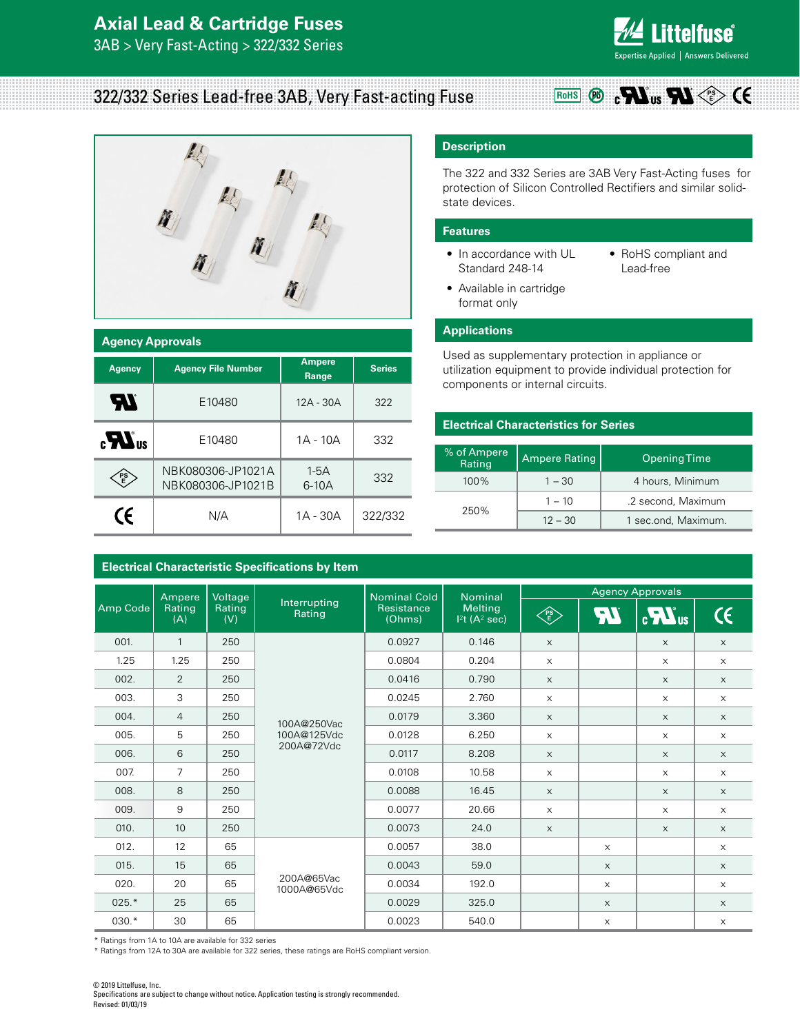# **Axial Lead & Cartridge Fuses**

3AB > Very Fast-Acting > 322/332 Series



**PS E**

## 322/332 Series Lead-free 3AB, Very Fast-acting Fuse



| <b>Agency Approvals</b> |                                                     |                   |               |  |  |  |
|-------------------------|-----------------------------------------------------|-------------------|---------------|--|--|--|
| <b>Agency</b>           | <b>Ampere</b><br><b>Agency File Number</b><br>Range |                   | <b>Series</b> |  |  |  |
| <b>AV</b>               | E10480                                              | $12A - 30A$       | 322           |  |  |  |
| $\mathbf{R}$            | E10480                                              | 1A - 10A          | 332           |  |  |  |
| PS<br>E                 | NBK080306-JP1021A<br>NBK080306-JP1021B              | $1-5A$<br>$6-10A$ | 332           |  |  |  |
| CE                      | N/A                                                 | 1A - 30A          | 322/332       |  |  |  |

**Electrical Characteristic Specifications by Item**

### **Description**

The 322 and 332 Series are 3AB Very Fast-Acting fuses for protection of Silicon Controlled Rectifiers and similar solidstate devices.

**RoHS** 

#### **Features**

- In accordance with UL Standard 248-14
- RoHS compliant and Lead-free
- Available in cartridge format only

#### **Applications**

Used as supplementary protection in appliance or utilization equipment to provide individual protection for components or internal circuits.

#### **Electrical Characteristics for Series**

| % of Ampere<br>Ampere Rating<br>Rating |           | <b>Opening Time</b> |
|----------------------------------------|-----------|---------------------|
| 100%                                   | $1 - 30$  | 4 hours, Minimum    |
|                                        | $1 - 10$  | .2 second, Maximum  |
| 250%                                   | $12 - 30$ | 1 sec.ond, Maximum. |

|          | Ampere<br>Voltage<br><b>Nominal Cold</b><br><b>Nominal</b> |                        |                                                                      |        |       | <b>Agency Approvals</b>   |            |                           |                           |
|----------|------------------------------------------------------------|------------------------|----------------------------------------------------------------------|--------|-------|---------------------------|------------|---------------------------|---------------------------|
| Amp Code | Rating<br>Rating<br>(V)<br>(A)                             | Interrupting<br>Rating | <b>Melting</b><br>Resistance<br>(Ohms)<br>$12t$ (A <sup>2</sup> sec) | PS     | 74    | $\sum_{\alpha}$           | $\epsilon$ |                           |                           |
| 001.     | $\mathbf{1}$                                               | 250                    |                                                                      | 0.0927 | 0.146 | $\times$                  |            | $\times$                  | $\boldsymbol{\mathsf{X}}$ |
| 1.25     | 1.25                                                       | 250                    |                                                                      | 0.0804 | 0.204 | $\times$                  |            | $\times$                  | $\times$                  |
| 002.     | 2                                                          | 250                    |                                                                      | 0.0416 | 0.790 | $\times$                  |            | $\times$                  | $\times$                  |
| 003.     | 3                                                          | 250                    | 100A@250Vac<br>100A@125Vdc<br>200A@72Vdc                             | 0.0245 | 2.760 | $\times$                  |            | $\times$                  | $\times$                  |
| 004.     | $\overline{4}$                                             | 250                    |                                                                      | 0.0179 | 3.360 | X                         |            | $\times$                  | $\boldsymbol{\mathsf{X}}$ |
| 005.     | 5                                                          | 250                    |                                                                      | 0.0128 | 6.250 | $\times$                  |            | $\times$                  | $\times$                  |
| 006.     | 6                                                          | 250                    |                                                                      | 0.0117 | 8.208 | $\boldsymbol{\times}$     |            | X                         | $\boldsymbol{\mathsf{X}}$ |
| 007.     | $\overline{7}$                                             | 250                    |                                                                      | 0.0108 | 10.58 | $\times$                  |            | $\times$                  | $\boldsymbol{\mathsf{X}}$ |
| 008.     | 8                                                          | 250                    |                                                                      | 0.0088 | 16.45 | $\boldsymbol{\mathsf{X}}$ |            | $\boldsymbol{\mathsf{X}}$ | $\boldsymbol{\mathsf{X}}$ |
| 009.     | 9                                                          | 250                    |                                                                      | 0.0077 | 20.66 | $\boldsymbol{\mathsf{X}}$ |            | $\boldsymbol{\mathsf{X}}$ | $\times$                  |
| 010.     | 10                                                         | 250                    |                                                                      | 0.0073 | 24.0  | $\times$                  |            | X                         | $\boldsymbol{\mathsf{X}}$ |
| 012.     | 12                                                         | 65                     | 200A@65Vac<br>1000A@65Vdc                                            | 0.0057 | 38.0  |                           | X          |                           | $\times$                  |
| 015.     | 15                                                         | 65                     |                                                                      | 0.0043 | 59.0  |                           | $\times$   |                           | $\boldsymbol{\mathsf{X}}$ |
| 020.     | 20                                                         | 65                     |                                                                      | 0.0034 | 192.0 |                           | X          |                           | $\mathsf X$               |
| $025.*$  | 25                                                         | 65                     |                                                                      | 0.0029 | 325.0 |                           | $\times$   |                           | $\mathsf X$               |
| 030.*    | 30                                                         | 65                     |                                                                      | 0.0023 | 540.0 |                           | X          |                           | X                         |

\* Ratings from 1A to 10A are available for 332 series

\* Ratings from 12A to 30A are available for 322 series, these ratings are RoHS compliant version.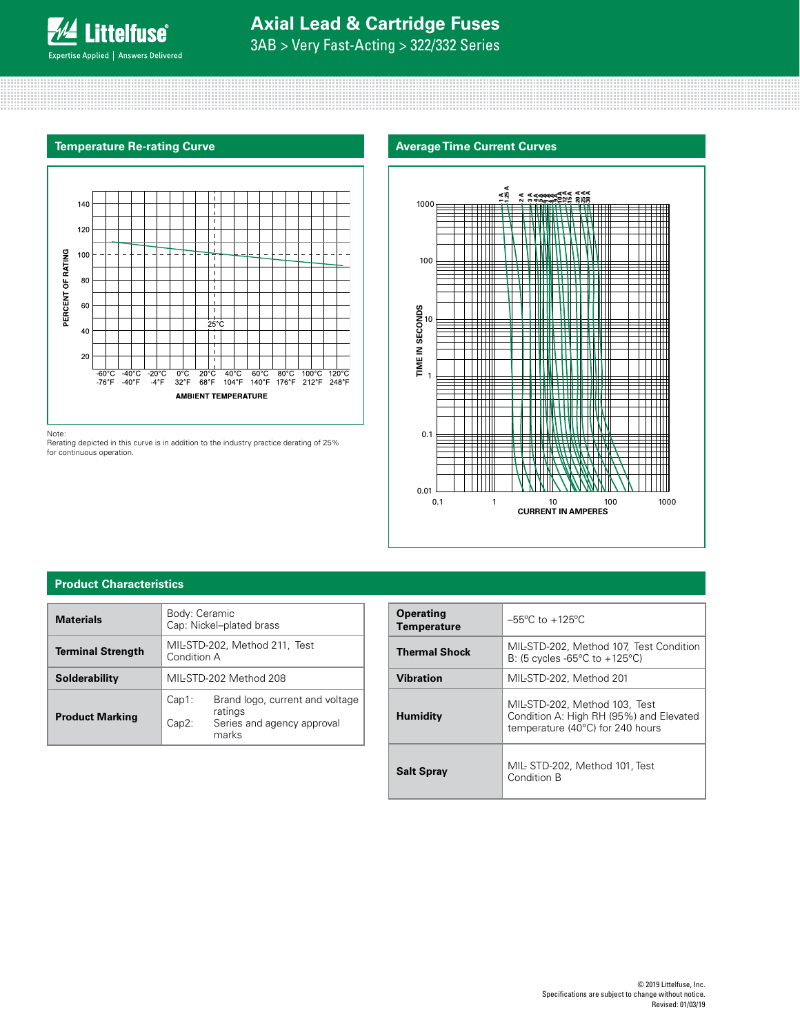3AB > Very Fast-Acting > 322/332 Series



Note:

Rerating depicted in this curve is in addition to the industry practice derating of 25% for continuous operation.





#### **Product Characteristics**

| <b>Materials</b>         | Body: Ceramic<br>Cap: Nickel-plated brass    |                                                                                   |  |
|--------------------------|----------------------------------------------|-----------------------------------------------------------------------------------|--|
| <b>Terminal Strength</b> | MIL-STD-202, Method 211, Test<br>Condition A |                                                                                   |  |
| Solderability            | MIL-STD-202 Method 208                       |                                                                                   |  |
| <b>Product Marking</b>   | Cap1:<br>Cap2:                               | Brand logo, current and voltage<br>ratings<br>Series and agency approval<br>marks |  |

| <b>Operating</b><br><b>Temperature</b> | $-55^{\circ}$ C to $+125^{\circ}$ C                                                                          |
|----------------------------------------|--------------------------------------------------------------------------------------------------------------|
| <b>Thermal Shock</b>                   | MIL-STD-202, Method 107, Test Condition<br>B: (5 cycles -65 $\degree$ C to +125 $\degree$ C)                 |
| <b>Vibration</b>                       | MIL-STD-202, Method 201                                                                                      |
| <b>Humidity</b>                        | MIL-STD-202, Method 103, Test<br>Condition A: High RH (95%) and Elevated<br>temperature (40°C) for 240 hours |
| <b>Salt Spray</b>                      | MIL-STD-202, Method 101, Test<br>Condition B                                                                 |